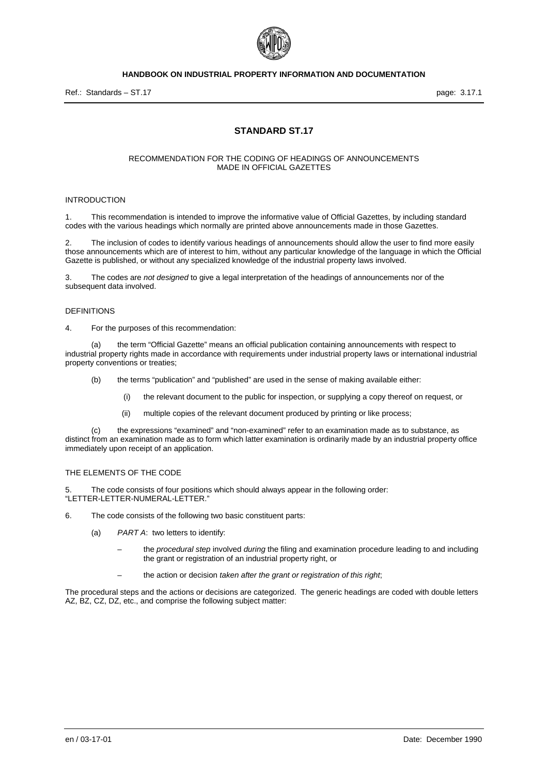

# **STANDARD ST.17**

#### RECOMMENDATION FOR THE CODING OF HEADINGS OF ANNOUNCEMENTS MADE IN OFFICIAL GAZETTES

#### INTRODUCTION

1. This recommendation is intended to improve the informative value of Official Gazettes, by including standard codes with the various headings which normally are printed above announcements made in those Gazettes.

2. The inclusion of codes to identify various headings of announcements should allow the user to find more easily those announcements which are of interest to him, without any particular knowledge of the language in which the Official Gazette is published, or without any specialized knowledge of the industrial property laws involved.

3. The codes are *not designed* to give a legal interpretation of the headings of announcements nor of the subsequent data involved.

#### DEFINITIONS

4. For the purposes of this recommendation:

(a) the term "Official Gazette" means an official publication containing announcements with respect to industrial property rights made in accordance with requirements under industrial property laws or international industrial property conventions or treaties;

- (b) the terms "publication" and "published" are used in the sense of making available either:
	- (i) the relevant document to the public for inspection, or supplying a copy thereof on request, or
	- (ii) multiple copies of the relevant document produced by printing or like process;

(c) the expressions "examined" and "non-examined" refer to an examination made as to substance, as distinct from an examination made as to form which latter examination is ordinarily made by an industrial property office immediately upon receipt of an application.

#### THE ELEMENTS OF THE CODE

5. The code consists of four positions which should always appear in the following order: "LETTER-LETTER-NUMERAL-LETTER."

- 6. The code consists of the following two basic constituent parts:
	- (a) *PART A*: two letters to identify:
		- the *procedural step* involved *during* the filing and examination procedure leading to and including the grant or registration of an industrial property right, or
		- the action or decision *taken after the grant or registration of this right*;

The procedural steps and the actions or decisions are categorized. The generic headings are coded with double letters AZ, BZ, CZ, DZ, etc., and comprise the following subject matter: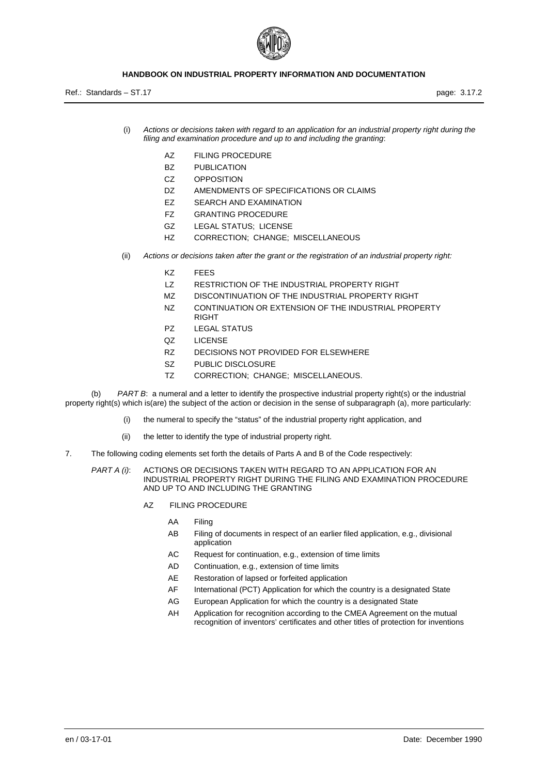

Ref.: Standards – ST.17 page: 3.17.2

- (i) *Actions or decisions taken with regard to an application for an industrial property right during the filing and examination procedure and up to and including the granting*:
	- AZ FILING PROCEDURE
	- BZ PUBLICATION
	- CZ OPPOSITION
	- DZ AMENDMENTS OF SPECIFICATIONS OR CLAIMS
	- EZ SEARCH AND EXAMINATION
	- FZ GRANTING PROCEDURE
	- GZ LEGAL STATUS; LICENSE
	- HZ CORRECTION; CHANGE; MISCELLANEOUS
- (ii) *Actions or decisions taken after the grant or the registration of an industrial property right:*
	- KZ FEES
	- LZ RESTRICTION OF THE INDUSTRIAL PROPERTY RIGHT
	- MZ DISCONTINUATION OF THE INDUSTRIAL PROPERTY RIGHT
	- NZ CONTINUATION OR EXTENSION OF THE INDUSTRIAL PROPERTY RIGHT
	- PZ LEGAL STATUS
	- QZ LICENSE
	- RZ DECISIONS NOT PROVIDED FOR ELSEWHERE
	- SZ PUBLIC DISCLOSURE
	- TZ CORRECTION; CHANGE; MISCELLANEOUS.

(b) *PART B*: a numeral and a letter to identify the prospective industrial property right(s) or the industrial property right(s) which is(are) the subject of the action or decision in the sense of subparagraph (a), more particularly:

- (i) the numeral to specify the "status" of the industrial property right application, and
- (ii) the letter to identify the type of industrial property right.
- 7. The following coding elements set forth the details of Parts A and B of the Code respectively:
	- *PART A (i)*: ACTIONS OR DECISIONS TAKEN WITH REGARD TO AN APPLICATION FOR AN INDUSTRIAL PROPERTY RIGHT DURING THE FILING AND EXAMINATION PROCEDURE AND UP TO AND INCLUDING THE GRANTING
		- AZ FILING PROCEDURE
			- AA Filing
			- AB Filing of documents in respect of an earlier filed application, e.g., divisional application
			- AC Request for continuation, e.g., extension of time limits
			- AD Continuation, e.g., extension of time limits
			- AE Restoration of lapsed or forfeited application
			- AF International (PCT) Application for which the country is a designated State
			- AG European Application for which the country is a designated State
			- AH Application for recognition according to the CMEA Agreement on the mutual recognition of inventors' certificates and other titles of protection for inventions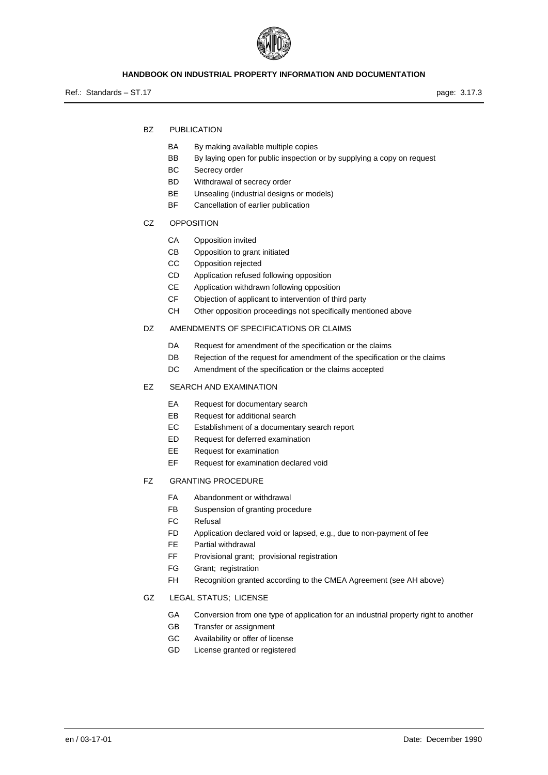

Ref.: Standards – ST.17 page: 3.17.3

- BZ PUBLICATION
	- BA By making available multiple copies
	- BB By laying open for public inspection or by supplying a copy on request
	- BC Secrecy order
	- BD Withdrawal of secrecy order
	- BE Unsealing (industrial designs or models)
	- BF Cancellation of earlier publication
- CZ OPPOSITION
	- CA Opposition invited
	- CB Opposition to grant initiated
	- CC Opposition rejected
	- CD Application refused following opposition
	- CE Application withdrawn following opposition
	- CF Objection of applicant to intervention of third party
	- CH Other opposition proceedings not specifically mentioned above
- DZ AMENDMENTS OF SPECIFICATIONS OR CLAIMS
	- DA Request for amendment of the specification or the claims
	- DB Rejection of the request for amendment of the specification or the claims
	- DC Amendment of the specification or the claims accepted
- EZ SEARCH AND EXAMINATION
	- EA Request for documentary search
	- EB Request for additional search
	- EC Establishment of a documentary search report
	- ED Request for deferred examination
	- EE Request for examination
	- EF Request for examination declared void
- FZ GRANTING PROCEDURE
	- FA Abandonment or withdrawal
	- FB Suspension of granting procedure
	- FC Refusal
	- FD Application declared void or lapsed, e.g., due to non-payment of fee
	- FE Partial withdrawal
	- FF Provisional grant; provisional registration
	- FG Grant; registration
	- FH Recognition granted according to the CMEA Agreement (see AH above)
- GZ LEGAL STATUS; LICENSE
	- GA Conversion from one type of application for an industrial property right to another
	- GB Transfer or assignment
	- GC Availability or offer of license
	- GD License granted or registered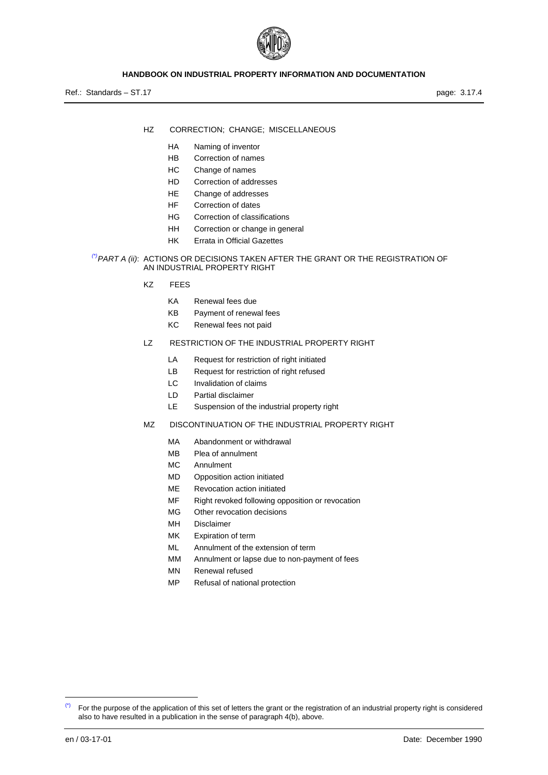

Ref.: Standards – ST.17 page: 3.17.4

- HZ CORRECTION; CHANGE; MISCELLANEOUS
	- HA Naming of inventor
	- HB Correction of names
	- HC Change of names
	- HD Correction of addresses
	- HE Change of addresses
	- HF Correction of dates
	- HG Correction of classifications
	- HH Correction or change in general
	- HK Errata in Official Gazettes
- *[\(\\*\)](#page-3-0)PART A (ii)*: ACTIONS OR DECISIONS TAKEN AFTER THE GRANT OR THE REGISTRATION OF AN INDUSTRIAL PROPERTY RIGHT
	- KZ FEES
		- KA Renewal fees due
		- KB Payment of renewal fees
		- KC Renewal fees not paid
	- LZ RESTRICTION OF THE INDUSTRIAL PROPERTY RIGHT
		- LA Request for restriction of right initiated
		- LB Request for restriction of right refused
		- LC Invalidation of claims
		- LD Partial disclaimer
		- LE Suspension of the industrial property right
	- MZ DISCONTINUATION OF THE INDUSTRIAL PROPERTY RIGHT
		- MA Abandonment or withdrawal
		- MB Plea of annulment
		- MC Annulment
		- MD Opposition action initiated
		- ME Revocation action initiated
		- MF Right revoked following opposition or revocation
		- MG Other revocation decisions
		- MH Disclaimer
		- MK Expiration of term
		- ML Annulment of the extension of term
		- MM Annulment or lapse due to non-payment of fees
		- MN Renewal refused
		- MP Refusal of national protection

-

<span id="page-3-0"></span><sup>(\*)</sup> For the purpose of the application of this set of letters the grant or the registration of an industrial property right is considered also to have resulted in a publication in the sense of paragraph 4(b), above.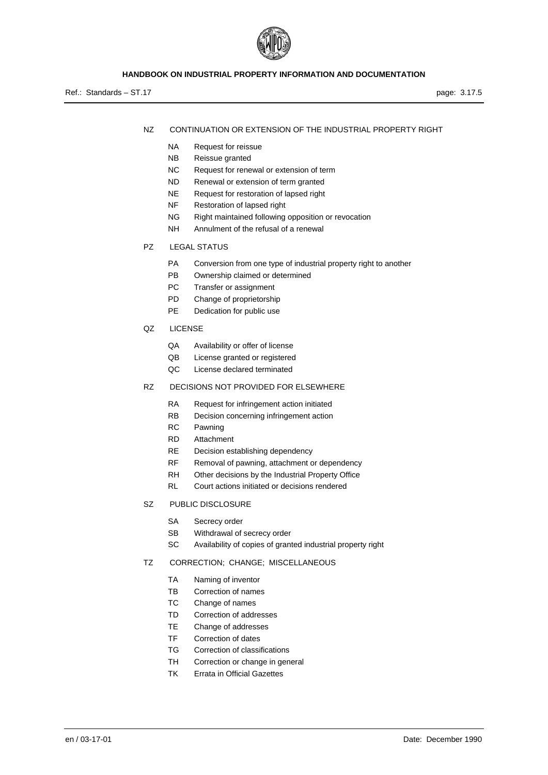

Ref.: Standards – ST.17 page: 3.17.5

- NZ CONTINUATION OR EXTENSION OF THE INDUSTRIAL PROPERTY RIGHT
	- NA Request for reissue
	- NB Reissue granted
	- NC Request for renewal or extension of term
	- ND Renewal or extension of term granted
	- NE Request for restoration of lapsed right
	- NF Restoration of lapsed right
	- NG Right maintained following opposition or revocation
	- NH Annulment of the refusal of a renewal
- PZ LEGAL STATUS
	- PA Conversion from one type of industrial property right to another
	- PB Ownership claimed or determined
	- PC Transfer or assignment
	- PD Change of proprietorship
	- PE Dedication for public use
- QZ LICENSE
	- QA Availability or offer of license
	- QB License granted or registered
	- QC License declared terminated
- RZ DECISIONS NOT PROVIDED FOR ELSEWHERE
	- RA Request for infringement action initiated
	- RB Decision concerning infringement action
	- RC Pawning
	- RD Attachment
	- RE Decision establishing dependency
	- RF Removal of pawning, attachment or dependency
	- RH Other decisions by the Industrial Property Office
	- RL Court actions initiated or decisions rendered
- SZ PUBLIC DISCLOSURE
	- SA Secrecy order
	- SB Withdrawal of secrecy order
	- SC Availability of copies of granted industrial property right

#### TZ CORRECTION; CHANGE; MISCELLANEOUS

- TA Naming of inventor
- TB Correction of names
- TC Change of names
- TD Correction of addresses
- TE Change of addresses
- TF Correction of dates
- TG Correction of classifications
- TH Correction or change in general
- TK Errata in Official Gazettes